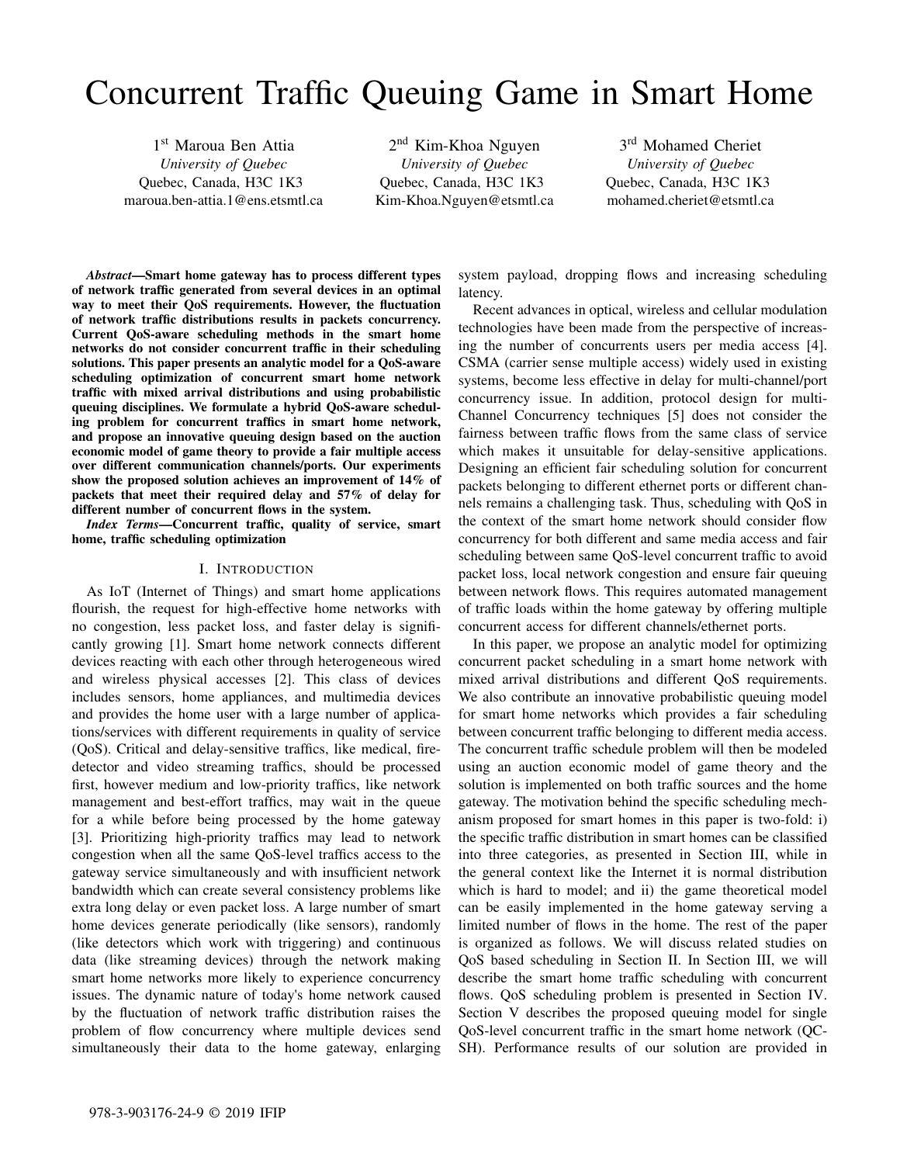# Concurrent Traffic Queuing Game in Smart Home

1 st Maroua Ben Attia *University of Quebec* Quebec, Canada, H3C 1K3 maroua.ben-attia.1@ens.etsmtl.ca

2<sup>nd</sup> Kim-Khoa Nguyen *University of Quebec* Quebec, Canada, H3C 1K3 Kim-Khoa.Nguyen@etsmtl.ca

3<sup>rd</sup> Mohamed Cheriet *University of Quebec* Quebec, Canada, H3C 1K3 mohamed.cheriet@etsmtl.ca

*Abstract*—Smart home gateway has to process different types of network traffic generated from several devices in an optimal way to meet their QoS requirements. However, the fluctuation of network traffic distributions results in packets concurrency. Current QoS-aware scheduling methods in the smart home networks do not consider concurrent traffic in their scheduling solutions. This paper presents an analytic model for a QoS-aware scheduling optimization of concurrent smart home network traffic with mixed arrival distributions and using probabilistic queuing disciplines. We formulate a hybrid QoS-aware scheduling problem for concurrent traffics in smart home network, and propose an innovative queuing design based on the auction economic model of game theory to provide a fair multiple access over different communication channels/ports. Our experiments show the proposed solution achieves an improvement of 14% of packets that meet their required delay and 57% of delay for different number of concurrent flows in the system.

*Index Terms*—Concurrent traffic, quality of service, smart home, traffic scheduling optimization

## I. INTRODUCTION

As IoT (Internet of Things) and smart home applications flourish, the request for high-effective home networks with no congestion, less packet loss, and faster delay is significantly growing [1]. Smart home network connects different devices reacting with each other through heterogeneous wired and wireless physical accesses [2]. This class of devices includes sensors, home appliances, and multimedia devices and provides the home user with a large number of applications/services with different requirements in quality of service (QoS). Critical and delay-sensitive traffics, like medical, firedetector and video streaming traffics, should be processed first, however medium and low-priority traffics, like network management and best-effort traffics, may wait in the queue for a while before being processed by the home gateway [3]. Prioritizing high-priority traffics may lead to network congestion when all the same QoS-level traffics access to the gateway service simultaneously and with insufficient network bandwidth which can create several consistency problems like extra long delay or even packet loss. A large number of smart home devices generate periodically (like sensors), randomly (like detectors which work with triggering) and continuous data (like streaming devices) through the network making smart home networks more likely to experience concurrency issues. The dynamic nature of today's home network caused by the fluctuation of network traffic distribution raises the problem of flow concurrency where multiple devices send simultaneously their data to the home gateway, enlarging

system payload, dropping flows and increasing scheduling latency.

Recent advances in optical, wireless and cellular modulation technologies have been made from the perspective of increasing the number of concurrents users per media access [4]. CSMA (carrier sense multiple access) widely used in existing systems, become less effective in delay for multi-channel/port concurrency issue. In addition, protocol design for multi-Channel Concurrency techniques [5] does not consider the fairness between traffic flows from the same class of service which makes it unsuitable for delay-sensitive applications. Designing an efficient fair scheduling solution for concurrent packets belonging to different ethernet ports or different channels remains a challenging task. Thus, scheduling with QoS in the context of the smart home network should consider flow concurrency for both different and same media access and fair scheduling between same QoS-level concurrent traffic to avoid packet loss, local network congestion and ensure fair queuing between network flows. This requires automated management of traffic loads within the home gateway by offering multiple concurrent access for different channels/ethernet ports.

In this paper, we propose an analytic model for optimizing concurrent packet scheduling in a smart home network with mixed arrival distributions and different QoS requirements. We also contribute an innovative probabilistic queuing model for smart home networks which provides a fair scheduling between concurrent traffic belonging to different media access. The concurrent traffic schedule problem will then be modeled using an auction economic model of game theory and the solution is implemented on both traffic sources and the home gateway. The motivation behind the specific scheduling mechanism proposed for smart homes in this paper is two-fold: i) the specific traffic distribution in smart homes can be classified into three categories, as presented in Section III, while in the general context like the Internet it is normal distribution which is hard to model; and ii) the game theoretical model can be easily implemented in the home gateway serving a limited number of flows in the home. The rest of the paper is organized as follows. We will discuss related studies on QoS based scheduling in Section II. In Section III, we will describe the smart home traffic scheduling with concurrent flows. QoS scheduling problem is presented in Section IV. Section V describes the proposed queuing model for single QoS-level concurrent traffic in the smart home network (QC-SH). Performance results of our solution are provided in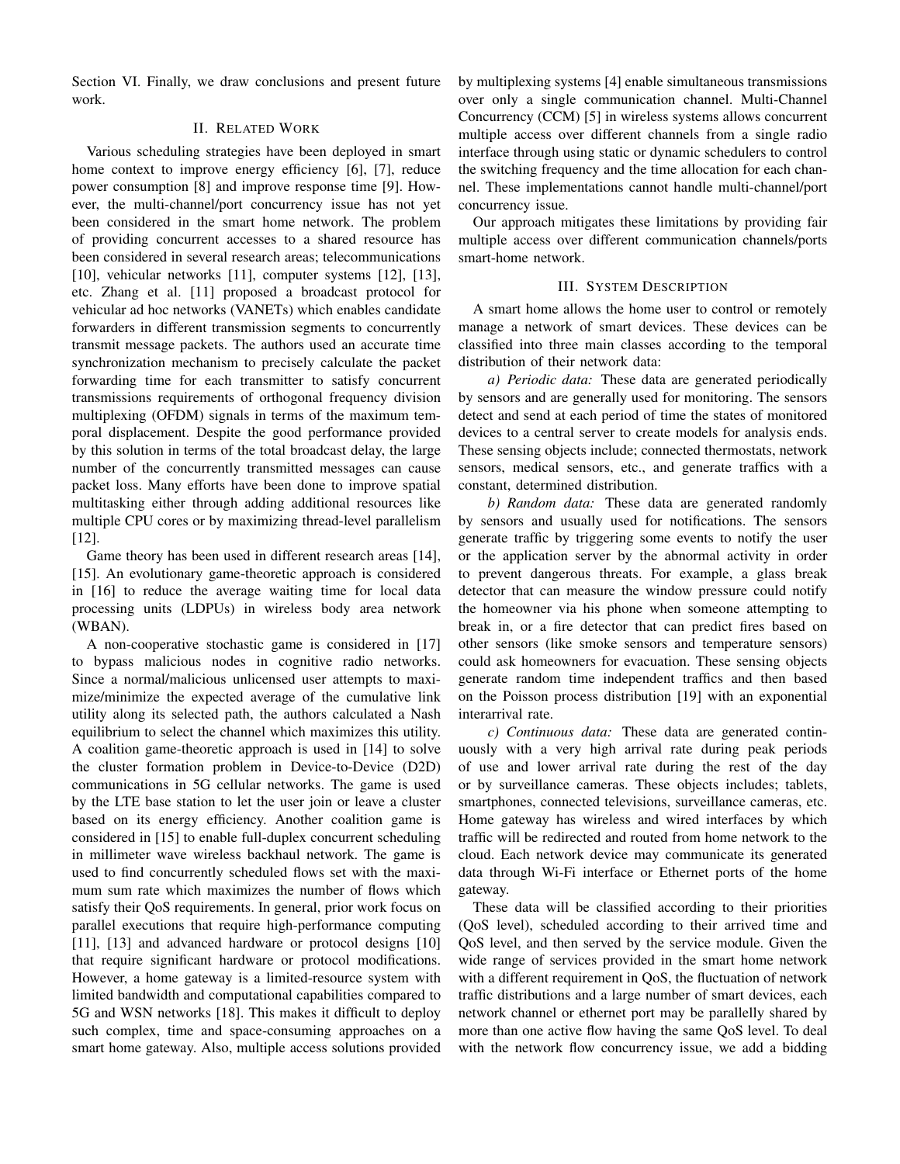Section VI. Finally, we draw conclusions and present future work.

# II. RELATED WORK

Various scheduling strategies have been deployed in smart home context to improve energy efficiency [6], [7], reduce power consumption [8] and improve response time [9]. However, the multi-channel/port concurrency issue has not yet been considered in the smart home network. The problem of providing concurrent accesses to a shared resource has been considered in several research areas; telecommunications [10], vehicular networks [11], computer systems [12], [13], etc. Zhang et al. [11] proposed a broadcast protocol for vehicular ad hoc networks (VANETs) which enables candidate forwarders in different transmission segments to concurrently transmit message packets. The authors used an accurate time synchronization mechanism to precisely calculate the packet forwarding time for each transmitter to satisfy concurrent transmissions requirements of orthogonal frequency division multiplexing (OFDM) signals in terms of the maximum temporal displacement. Despite the good performance provided by this solution in terms of the total broadcast delay, the large number of the concurrently transmitted messages can cause packet loss. Many efforts have been done to improve spatial multitasking either through adding additional resources like multiple CPU cores or by maximizing thread-level parallelism [12].

Game theory has been used in different research areas [14], [15]. An evolutionary game-theoretic approach is considered in [16] to reduce the average waiting time for local data processing units (LDPUs) in wireless body area network (WBAN).

A non-cooperative stochastic game is considered in [17] to bypass malicious nodes in cognitive radio networks. Since a normal/malicious unlicensed user attempts to maximize/minimize the expected average of the cumulative link utility along its selected path, the authors calculated a Nash equilibrium to select the channel which maximizes this utility. A coalition game-theoretic approach is used in [14] to solve the cluster formation problem in Device-to-Device (D2D) communications in 5G cellular networks. The game is used by the LTE base station to let the user join or leave a cluster based on its energy efficiency. Another coalition game is considered in [15] to enable full-duplex concurrent scheduling in millimeter wave wireless backhaul network. The game is used to find concurrently scheduled flows set with the maximum sum rate which maximizes the number of flows which satisfy their QoS requirements. In general, prior work focus on parallel executions that require high-performance computing [11], [13] and advanced hardware or protocol designs [10] that require significant hardware or protocol modifications. However, a home gateway is a limited-resource system with limited bandwidth and computational capabilities compared to 5G and WSN networks [18]. This makes it difficult to deploy such complex, time and space-consuming approaches on a smart home gateway. Also, multiple access solutions provided by multiplexing systems [4] enable simultaneous transmissions over only a single communication channel. Multi-Channel Concurrency (CCM) [5] in wireless systems allows concurrent multiple access over different channels from a single radio interface through using static or dynamic schedulers to control the switching frequency and the time allocation for each channel. These implementations cannot handle multi-channel/port concurrency issue.

Our approach mitigates these limitations by providing fair multiple access over different communication channels/ports smart-home network.

#### III. SYSTEM DESCRIPTION

A smart home allows the home user to control or remotely manage a network of smart devices. These devices can be classified into three main classes according to the temporal distribution of their network data:

*a) Periodic data:* These data are generated periodically by sensors and are generally used for monitoring. The sensors detect and send at each period of time the states of monitored devices to a central server to create models for analysis ends. These sensing objects include; connected thermostats, network sensors, medical sensors, etc., and generate traffics with a constant, determined distribution.

*b) Random data:* These data are generated randomly by sensors and usually used for notifications. The sensors generate traffic by triggering some events to notify the user or the application server by the abnormal activity in order to prevent dangerous threats. For example, a glass break detector that can measure the window pressure could notify the homeowner via his phone when someone attempting to break in, or a fire detector that can predict fires based on other sensors (like smoke sensors and temperature sensors) could ask homeowners for evacuation. These sensing objects generate random time independent traffics and then based on the Poisson process distribution [19] with an exponential interarrival rate.

*c) Continuous data:* These data are generated continuously with a very high arrival rate during peak periods of use and lower arrival rate during the rest of the day or by surveillance cameras. These objects includes; tablets, smartphones, connected televisions, surveillance cameras, etc. Home gateway has wireless and wired interfaces by which traffic will be redirected and routed from home network to the cloud. Each network device may communicate its generated data through Wi-Fi interface or Ethernet ports of the home gateway.

These data will be classified according to their priorities (QoS level), scheduled according to their arrived time and QoS level, and then served by the service module. Given the wide range of services provided in the smart home network with a different requirement in QoS, the fluctuation of network traffic distributions and a large number of smart devices, each network channel or ethernet port may be parallelly shared by more than one active flow having the same QoS level. To deal with the network flow concurrency issue, we add a bidding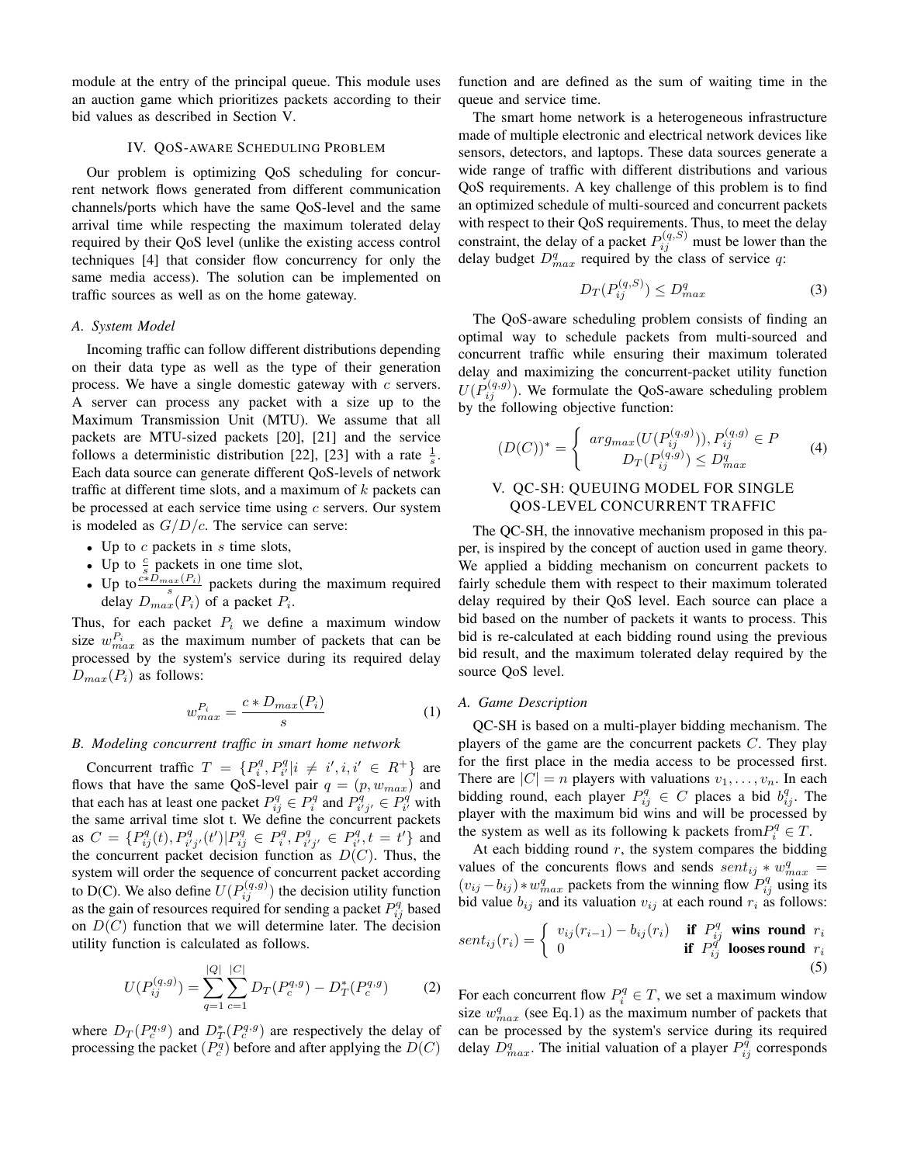module at the entry of the principal queue. This module uses an auction game which prioritizes packets according to their bid values as described in Section V.

## IV. QOS-AWARE SCHEDULING PROBLEM

Our problem is optimizing QoS scheduling for concurrent network flows generated from different communication channels/ports which have the same QoS-level and the same arrival time while respecting the maximum tolerated delay required by their QoS level (unlike the existing access control techniques [4] that consider flow concurrency for only the same media access). The solution can be implemented on traffic sources as well as on the home gateway.

## *A. System Model*

Incoming traffic can follow different distributions depending on their data type as well as the type of their generation process. We have a single domestic gateway with  $c$  servers. A server can process any packet with a size up to the Maximum Transmission Unit (MTU). We assume that all packets are MTU-sized packets [20], [21] and the service follows a deterministic distribution [22], [23] with a rate  $\frac{1}{s}$ . Each data source can generate different QoS-levels of network traffic at different time slots, and a maximum of  $k$  packets can be processed at each service time using  $c$  servers. Our system is modeled as  $G/D/c$ . The service can serve:

- Up to  $c$  packets in  $s$  time slots,
- Up to  $\frac{c}{s}$  packets in one time slot,
- Up to  $s \frac{p_{max}(P_i)}{s}$  packets during the maximum required delay  $D_{max}(P_i)$  of a packet  $P_i$ .

Thus, for each packet  $P_i$  we define a maximum window size  $w_{max}^{P_i}$  as the maximum number of packets that can be processed by the system's service during its required delay  $D_{max}(P_i)$  as follows:

$$
w_{max}^{P_i} = \frac{c * D_{max}(P_i)}{s} \tag{1}
$$

## *B. Modeling concurrent traffic in smart home network*

Concurrent traffic  $T = \{P_i^q, P_{i'}^q | i \neq i', i, i' \in R^+\}$  are flows that have the same QoS-level pair  $q = (p, w_{max})$  and that each has at least one packet  $P_{ij}^q \in P_i^q$  and  $P_{i'j'}^q \in P_{i'}^q$  with the same arrival time slot t. We define the concurrent packets as  $C = \{P_{ij}^q(t), P_{i'j'}^q(t') | P_{ij}^q \in P_i^q, P_{i'j'}^q \in P_{i'}^q, t = t'\}\$ and the concurrent packet decision function as  $D(C)$ . Thus, the system will order the sequence of concurrent packet according to D(C). We also define  $U(P_{ij}^{(q,g)})$  the decision utility function as the gain of resources required for sending a packet  $P_{ij}^q$  based on  $D(C)$  function that we will determine later. The decision utility function is calculated as follows.

$$
U(P_{ij}^{(q,g)}) = \sum_{q=1}^{|Q|} \sum_{c=1}^{|C|} D_T(P_c^{q,g}) - D_T^*(P_c^{q,g}) \tag{2}
$$

where  $D_T(P_c^{q,g})$  and  $D_T^*(P_c^{q,g})$  are respectively the delay of processing the packet  $(P_c^q)$  before and after applying the  $D(C)$ 

function and are defined as the sum of waiting time in the queue and service time.

The smart home network is a heterogeneous infrastructure made of multiple electronic and electrical network devices like sensors, detectors, and laptops. These data sources generate a wide range of traffic with different distributions and various QoS requirements. A key challenge of this problem is to find an optimized schedule of multi-sourced and concurrent packets with respect to their QoS requirements. Thus, to meet the delay constraint, the delay of a packet  $P_{ij}^{(q, S)}$  must be lower than the delay budget  $D_{max}^q$  required by the class of service q:

$$
D_T(P_{ij}^{(q,S)}) \le D_{max}^q \tag{3}
$$

The QoS-aware scheduling problem consists of finding an optimal way to schedule packets from multi-sourced and concurrent traffic while ensuring their maximum tolerated delay and maximizing the concurrent-packet utility function  $U(P_{ij}^{(q,g)})$ . We formulate the QoS-aware scheduling problem by the following objective function:

$$
(D(C))^* = \begin{cases} arg_{max}(U(P_{ij}^{(q,g)})), P_{ij}^{(q,g)} \in P \\ D_T(P_{ij}^{(q,g)}) \le D_{max}^q \end{cases}
$$
 (4)

# V. QC-SH: QUEUING MODEL FOR SINGLE QOS-LEVEL CONCURRENT TRAFFIC

The QC-SH, the innovative mechanism proposed in this paper, is inspired by the concept of auction used in game theory. We applied a bidding mechanism on concurrent packets to fairly schedule them with respect to their maximum tolerated delay required by their QoS level. Each source can place a bid based on the number of packets it wants to process. This bid is re-calculated at each bidding round using the previous bid result, and the maximum tolerated delay required by the source QoS level.

# *A. Game Description*

QC-SH is based on a multi-player bidding mechanism. The players of the game are the concurrent packets  $C$ . They play for the first place in the media access to be processed first. There are  $|C| = n$  players with valuations  $v_1, \ldots, v_n$ . In each bidding round, each player  $P_{ij}^q \in C$  places a bid  $b_{ij}^q$ . The player with the maximum bid wins and will be processed by the system as well as its following k packets from  $P_i^q \in T$ .

At each bidding round  $r$ , the system compares the bidding values of the concurents flows and sends  $sent_{ij} * w_{max}^q =$  $(v_{ij} - b_{ij}) * w_{max}^q$  packets from the winning flow  $P_{ij}^q$  using its bid value  $b_{ij}$  and its valuation  $v_{ij}$  at each round  $r_i$  as follows:

$$
sent_{ij}(r_i) = \begin{cases} v_{ij}(r_{i-1}) - b_{ij}(r_i) & \text{if } P_{ij}^q \text{ wins round } r_i \\ 0 & \text{if } P_{ij}^q \text{ looses round } r_i \end{cases}
$$
(5)

For each concurrent flow  $P_i^q \in T$ , we set a maximum window size  $w_{max}^q$  (see Eq.1) as the maximum number of packets that can be processed by the system's service during its required delay  $\bar{D}_{max}^q$ . The initial valuation of a player  $P_{ij}^q$  corresponds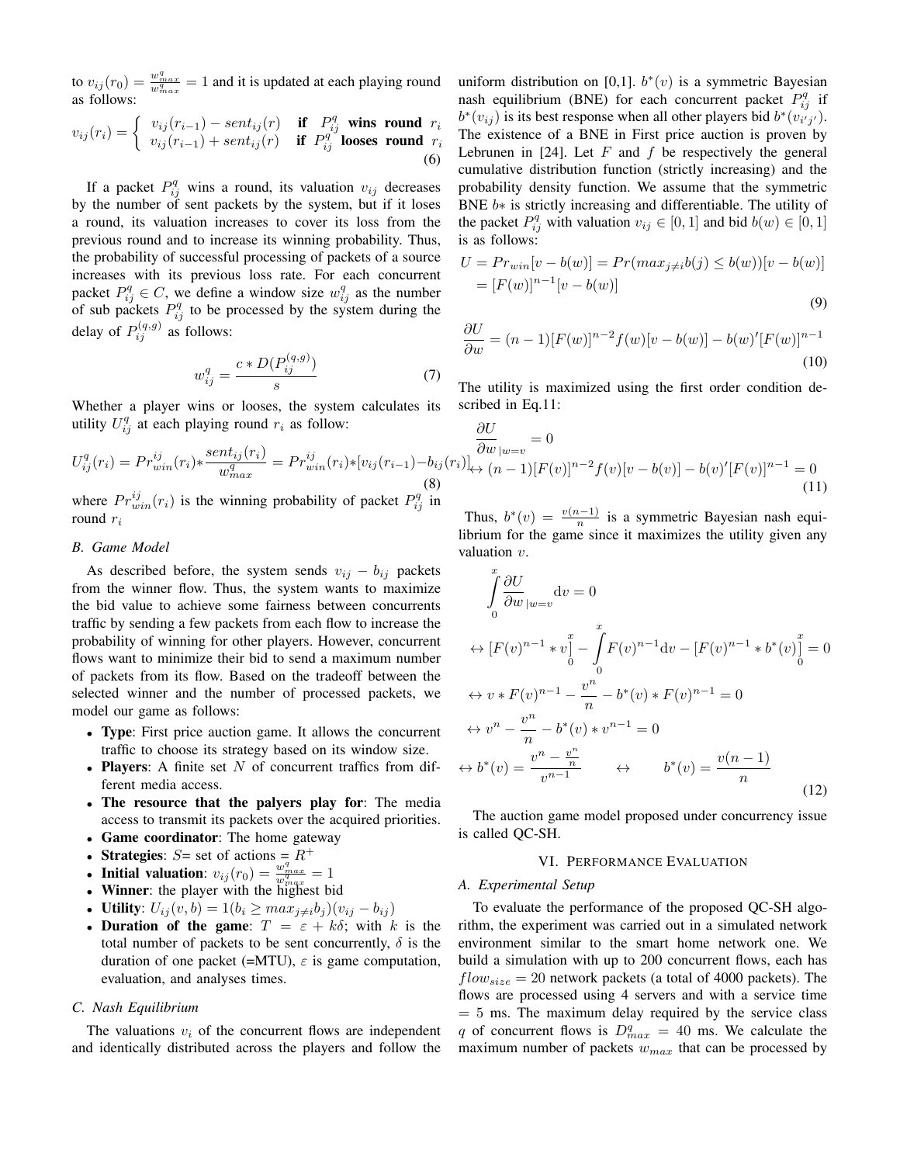to  $v_{ij}(r_0) = \frac{w_{max}^q}{w_{max}^q} = 1$  and it is updated at each playing round as follows:

$$
v_{ij}(r_i) = \begin{cases} v_{ij}(r_{i-1}) - sent_{ij}(r) & \text{if } P_{ij}^q \text{ wins round } r_i \\ v_{ij}(r_{i-1}) + sent_{ij}(r) & \text{if } P_{ij}^q \text{looses round } r_i \\ 6 & \end{cases}
$$

If a packet  $P_{ij}^q$  wins a round, its valuation  $v_{ij}$  decreases by the number of sent packets by the system, but if it loses a round, its valuation increases to cover its loss from the previous round and to increase its winning probability. Thus, the probability of successful processing of packets of a source increases with its previous loss rate. For each concurrent packet  $P_{ij}^q \in C$ , we define a window size  $w_{ij}^q$  as the number of sub packets  $P_{ij}^q$  to be processed by the system during the delay of  $P_{ij}^{(q,g)}$  as follows:

$$
w_{ij}^q = \frac{c * D(P_{ij}^{(q,g)})}{s} \tag{7}
$$

Whether a player wins or looses, the system calculates its utility  $U_{ij}^q$  at each playing round  $r_i$  as follow:

uniform distribution on [0,1].  $b^*(v)$  is a symmetric Bayesian nash equilibrium (BNE) for each concurrent packet  $P_{ij}^q$  if  $b^*(v_{ij})$  is its best response when all other players bid  $b^*(v_{i'j'})$ . The existence of a BNE in First price auction is proven by Lebrunen in [24]. Let  $F$  and  $f$  be respectively the general cumulative distribution function (strictly increasing) and the probability density function. We assume that the symmetric BNE b∗ is strictly increasing and differentiable. The utility of the packet  $P_{ij}^q$  with valuation  $v_{ij} \in [0, 1]$  and bid  $b(w) \in [0, 1]$ is as follows:

$$
U = Pr_{win}[v - b(w)] = Pr(max_{j \neq i}b(j) \le b(w))[v - b(w)]
$$
  
=  $[F(w)]^{n-1}[v - b(w)]$  (9)

$$
\frac{\partial U}{\partial w} = (n-1)[F(w)]^{n-2} f(w)[v - b(w)] - b(w)'[F(w)]^{n-1}
$$
\n(10)

The utility is maximized using the first order condition described in Eq.11:

utility 
$$
U_{ij}^q
$$
 at each playing round  $r_i$  as follow:  
\n
$$
U_{ij}^q(r_i) = Pr_{win}^{ij}(r_i) * \frac{sent_{ij}(r_i)}{w_{max}^q} = Pr_{win}^{ij}(r_i) * [v_{ij}(r_{i-1}) - b_{ij}(r_i)]_{\leftrightarrow} (n-1)[F(v)]^{n-2} f(v)[v-b(v)] - b(v)'[F(v)]^{n-1} = 0
$$
\n(8)  
\nwhere  $Pr_{ij}^{ij}(r_i)$  is the winning probability of neglect  $P_i^q$  in

where  $Pr_{win}^{ij}(r_i)$  is the winning probability of packet  $P_{ij}^q$  in round  $r_i$ 

# *B. Game Model*

As described before, the system sends  $v_{ij} - b_{ij}$  packets from the winner flow. Thus, the system wants to maximize the bid value to achieve some fairness between concurrents traffic by sending a few packets from each flow to increase the probability of winning for other players. However, concurrent flows want to minimize their bid to send a maximum number of packets from its flow. Based on the tradeoff between the selected winner and the number of processed packets, we model our game as follows:

- Type: First price auction game. It allows the concurrent traffic to choose its strategy based on its window size.
- Players: A finite set  $N$  of concurrent traffics from different media access.
- The resource that the palyers play for: The media access to transmit its packets over the acquired priorities.
- Game coordinator: The home gateway
- Strategies:  $S=$  set of actions =  $R^+$
- Initial valuation:  $v_{ij}(r_0) = \frac{w_{max}^q}{w_{max}^q} = 1$
- Winner: the player with the highest bid
- Utility:  $U_{ij}(v, b) = 1(b_i \ge max_{i \ne i} b_i)(v_{ij} b_{ij})$
- Duration of the game:  $T = \varepsilon + k\delta$ ; with k is the total number of packets to be sent concurrently,  $\delta$  is the duration of one packet (=MTU),  $\varepsilon$  is game computation, evaluation, and analyses times.

## *C. Nash Equilibrium*

The valuations  $v_i$  of the concurrent flows are independent and identically distributed across the players and follow the

Thus,  $b^*(v) = \frac{v(n-1)}{n}$  is a symmetric Bayesian nash equilibrium for the game since it maximizes the utility given any valuation v.

$$
\int_{0}^{x} \frac{\partial U}{\partial w}_{|w=v} dv = 0
$$
\n
$$
\leftrightarrow [F(v)^{n-1} * v] - \int_{0}^{x} F(v)^{n-1} dv - [F(v)^{n-1} * b^*(v)] = 0
$$
\n
$$
\leftrightarrow v * F(v)^{n-1} - \frac{v^n}{n} - b^*(v) * F(v)^{n-1} = 0
$$
\n
$$
\leftrightarrow v^n - \frac{v^n}{n} - b^*(v) * v^{n-1} = 0
$$
\n
$$
\leftrightarrow b^*(v) = \frac{v^n - \frac{v^n}{n}}{v^{n-1}} \qquad \leftrightarrow \qquad b^*(v) = \frac{v(n-1)}{n}
$$
\n(12)

The auction game model proposed under concurrency issue is called QC-SH.

#### VI. PERFORMANCE EVALUATION

## *A. Experimental Setup*

To evaluate the performance of the proposed QC-SH algorithm, the experiment was carried out in a simulated network environment similar to the smart home network one. We build a simulation with up to 200 concurrent flows, each has  $flow_{size} = 20$  network packets (a total of 4000 packets). The flows are processed using 4 servers and with a service time  $= 5$  ms. The maximum delay required by the service class q of concurrent flows is  $D_{max}^q = 40$  ms. We calculate the maximum number of packets  $w_{max}$  that can be processed by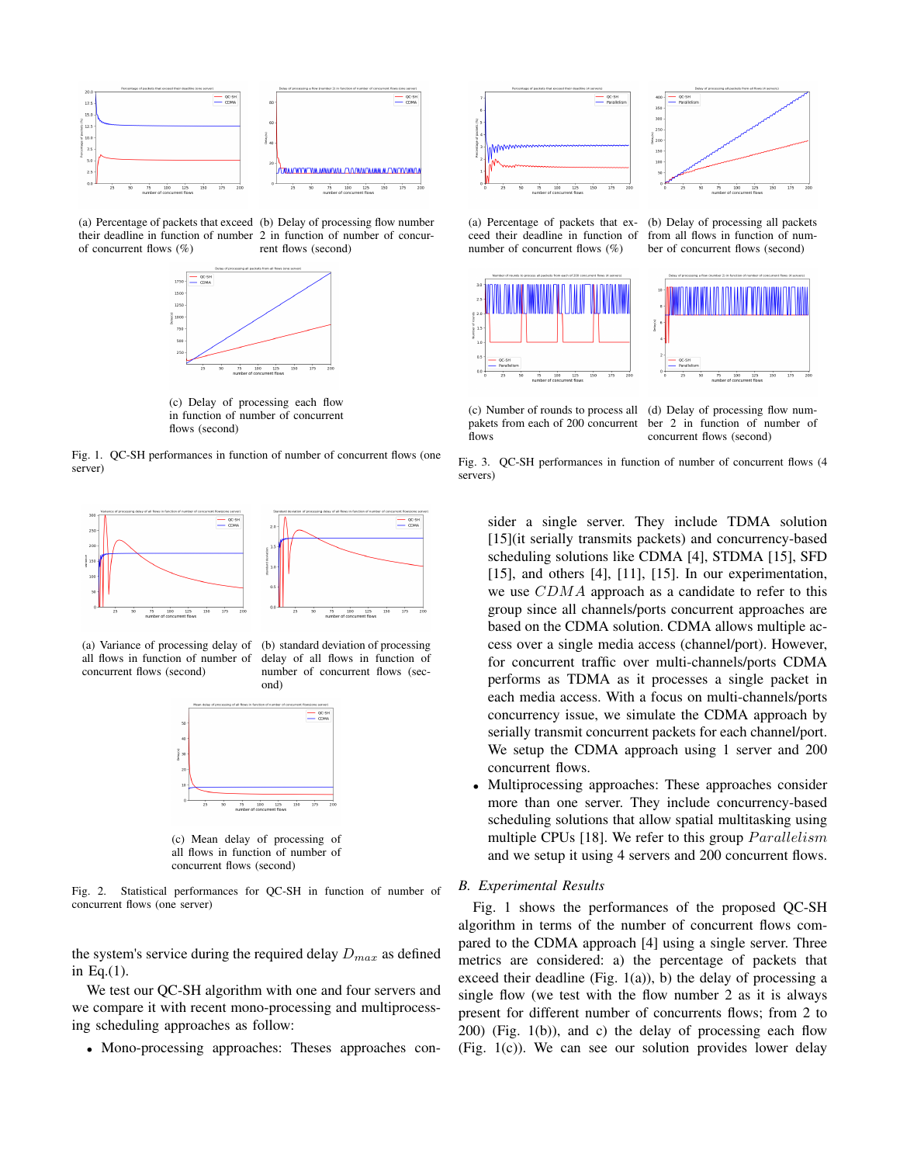

(a) Percentage of packets that exceed (b) Delay of processing flow number their deadline in function of number 2 in function of number of concurof concurrent flows (%) rent flows (second)



(c) Delay of processing each flow in function of number of concurrent flows (second)

Fig. 1. QC-SH performances in function of number of concurrent flows (one server)



(a) Variance of processing delay of all flows in function of number of concurrent flows (second)

(b) standard deviation of processing delay of all flows in function of number of concurrent flows (second)



(c) Mean delay of processing of all flows in function of number of concurrent flows (second)

Fig. 2. Statistical performances for QC-SH in function of number of concurrent flows (one server)

the system's service during the required delay  $D_{max}$  as defined in Eq. $(1)$ .

We test our QC-SH algorithm with one and four servers and we compare it with recent mono-processing and multiprocessing scheduling approaches as follow:

• Mono-processing approaches: Theses approaches con-





(b) Delay of processing all packets from all flows in function of number of concurrent flows (second)

(a) Percentage of packets that exceed their deadline in function of number of concurrent flows (%)





(c) Number of rounds to process all (d) Delay of processing flow numpakets from each of 200 concurrent ber 2 in function of number of flows

concurrent flows (second)

Fig. 3. QC-SH performances in function of number of concurrent flows (4 servers)

sider a single server. They include TDMA solution [15](it serially transmits packets) and concurrency-based scheduling solutions like CDMA [4], STDMA [15], SFD [15], and others [4], [11], [15]. In our experimentation, we use CDMA approach as a candidate to refer to this group since all channels/ports concurrent approaches are based on the CDMA solution. CDMA allows multiple access over a single media access (channel/port). However, for concurrent traffic over multi-channels/ports CDMA performs as TDMA as it processes a single packet in each media access. With a focus on multi-channels/ports concurrency issue, we simulate the CDMA approach by serially transmit concurrent packets for each channel/port. We setup the CDMA approach using 1 server and 200 concurrent flows.

• Multiprocessing approaches: These approaches consider more than one server. They include concurrency-based scheduling solutions that allow spatial multitasking using multiple CPUs [18]. We refer to this group  $Parallelism$ and we setup it using 4 servers and 200 concurrent flows.

## *B. Experimental Results*

Fig. 1 shows the performances of the proposed QC-SH algorithm in terms of the number of concurrent flows compared to the CDMA approach [4] using a single server. Three metrics are considered: a) the percentage of packets that exceed their deadline (Fig.  $1(a)$ ), b) the delay of processing a single flow (we test with the flow number 2 as it is always present for different number of concurrents flows; from 2 to 200) (Fig. 1(b)), and c) the delay of processing each flow (Fig. 1(c)). We can see our solution provides lower delay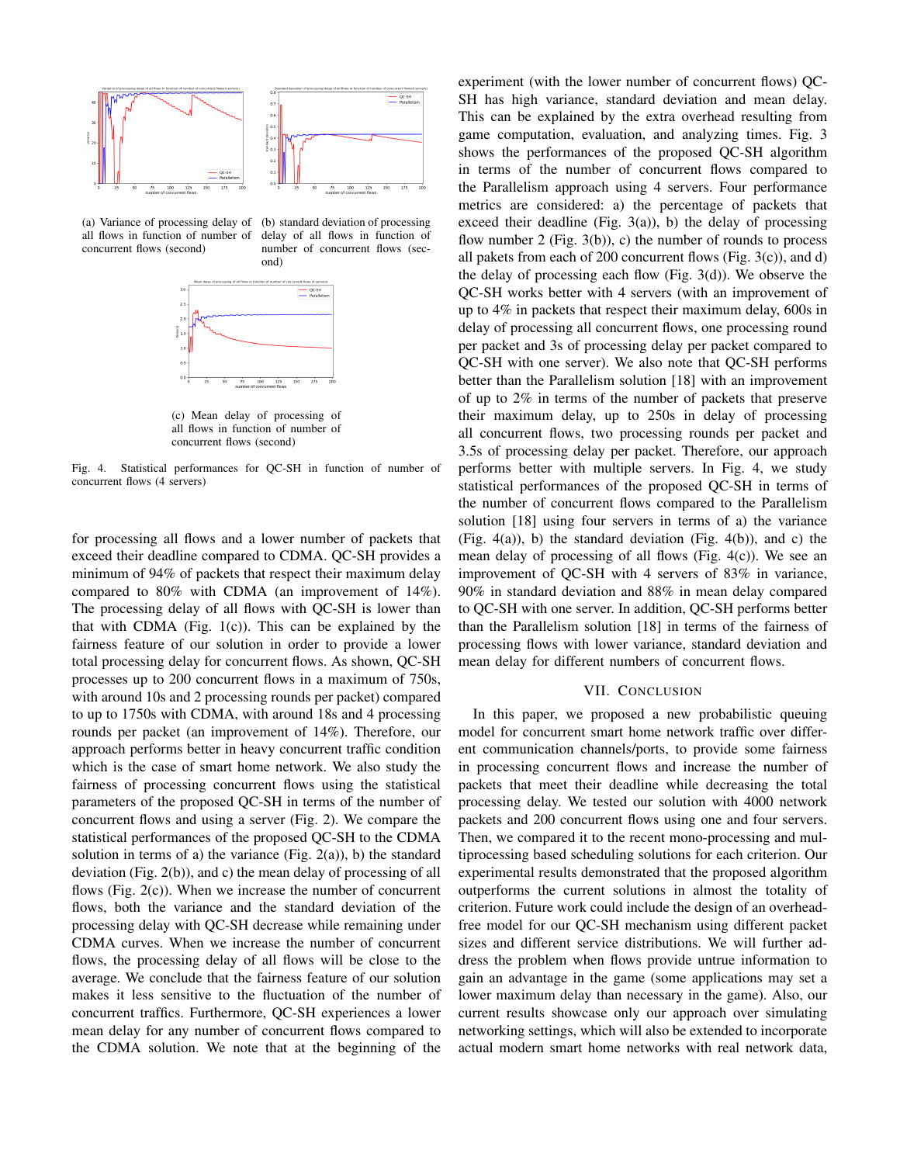

(a) Variance of processing delay of (b) standard deviation of processing all flows in function of number of concurrent flows (second)

delay of all flows in function of number of concurrent flows (second)



(c) Mean delay of processing of all flows in function of number of concurrent flows (second)

Fig. 4. Statistical performances for QC-SH in function of number of concurrent flows (4 servers)

for processing all flows and a lower number of packets that exceed their deadline compared to CDMA. QC-SH provides a minimum of 94% of packets that respect their maximum delay compared to 80% with CDMA (an improvement of 14%). The processing delay of all flows with QC-SH is lower than that with CDMA (Fig.  $1(c)$ ). This can be explained by the fairness feature of our solution in order to provide a lower total processing delay for concurrent flows. As shown, QC-SH processes up to 200 concurrent flows in a maximum of 750s, with around 10s and 2 processing rounds per packet) compared to up to 1750s with CDMA, with around 18s and 4 processing rounds per packet (an improvement of 14%). Therefore, our approach performs better in heavy concurrent traffic condition which is the case of smart home network. We also study the fairness of processing concurrent flows using the statistical parameters of the proposed QC-SH in terms of the number of concurrent flows and using a server (Fig. 2). We compare the statistical performances of the proposed QC-SH to the CDMA solution in terms of a) the variance (Fig.  $2(a)$ ), b) the standard deviation (Fig. 2(b)), and c) the mean delay of processing of all flows (Fig. 2(c)). When we increase the number of concurrent flows, both the variance and the standard deviation of the processing delay with QC-SH decrease while remaining under CDMA curves. When we increase the number of concurrent flows, the processing delay of all flows will be close to the average. We conclude that the fairness feature of our solution makes it less sensitive to the fluctuation of the number of concurrent traffics. Furthermore, QC-SH experiences a lower mean delay for any number of concurrent flows compared to the CDMA solution. We note that at the beginning of the

experiment (with the lower number of concurrent flows) QC-SH has high variance, standard deviation and mean delay. This can be explained by the extra overhead resulting from game computation, evaluation, and analyzing times. Fig. 3 shows the performances of the proposed QC-SH algorithm in terms of the number of concurrent flows compared to the Parallelism approach using 4 servers. Four performance metrics are considered: a) the percentage of packets that exceed their deadline (Fig.  $3(a)$ ), b) the delay of processing flow number 2 (Fig.  $3(b)$ ), c) the number of rounds to process all pakets from each of 200 concurrent flows (Fig. 3(c)), and d) the delay of processing each flow (Fig. 3(d)). We observe the QC-SH works better with 4 servers (with an improvement of up to 4% in packets that respect their maximum delay, 600s in delay of processing all concurrent flows, one processing round per packet and 3s of processing delay per packet compared to QC-SH with one server). We also note that QC-SH performs better than the Parallelism solution [18] with an improvement of up to 2% in terms of the number of packets that preserve their maximum delay, up to 250s in delay of processing all concurrent flows, two processing rounds per packet and 3.5s of processing delay per packet. Therefore, our approach performs better with multiple servers. In Fig. 4, we study statistical performances of the proposed QC-SH in terms of the number of concurrent flows compared to the Parallelism solution [18] using four servers in terms of a) the variance  $(Fig. 4(a))$ , b) the standard deviation  $(Fig. 4(b))$ , and c) the mean delay of processing of all flows (Fig. 4(c)). We see an improvement of QC-SH with 4 servers of 83% in variance, 90% in standard deviation and 88% in mean delay compared to QC-SH with one server. In addition, QC-SH performs better than the Parallelism solution [18] in terms of the fairness of processing flows with lower variance, standard deviation and mean delay for different numbers of concurrent flows.

#### VII. CONCLUSION

In this paper, we proposed a new probabilistic queuing model for concurrent smart home network traffic over different communication channels/ports, to provide some fairness in processing concurrent flows and increase the number of packets that meet their deadline while decreasing the total processing delay. We tested our solution with 4000 network packets and 200 concurrent flows using one and four servers. Then, we compared it to the recent mono-processing and multiprocessing based scheduling solutions for each criterion. Our experimental results demonstrated that the proposed algorithm outperforms the current solutions in almost the totality of criterion. Future work could include the design of an overheadfree model for our QC-SH mechanism using different packet sizes and different service distributions. We will further address the problem when flows provide untrue information to gain an advantage in the game (some applications may set a lower maximum delay than necessary in the game). Also, our current results showcase only our approach over simulating networking settings, which will also be extended to incorporate actual modern smart home networks with real network data,